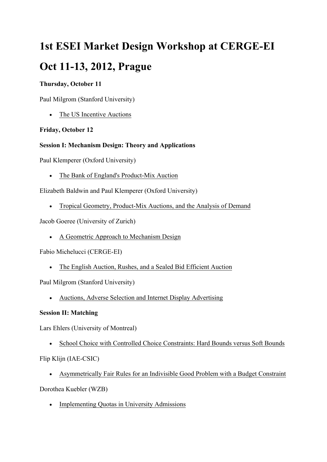# **1st ESEI Market Design Workshop at CERGE-EI**

# **Oct 11-13, 2012, Prague**

#### **Thursday, October 11**

Paul Milgrom (Stanford University)

• The US Incentive Auctions

## **Friday, October 12**

## **Session I: Mechanism Design: Theory and Applications**

Paul Klemperer (Oxford University)

• The Bank of England's Product-Mix Auction

Elizabeth Baldwin and Paul Klemperer (Oxford University)

• Tropical Geometry, Product-Mix Auctions, and the Analysis of Demand

Jacob Goeree (University of Zurich)

• A Geometric Approach to Mechanism Design

Fabio Michelucci (CERGE-EI)

• The English Auction, Rushes, and a Sealed Bid Efficient Auction

Paul Milgrom (Stanford University)

• Auctions, Adverse Selection and Internet Display Advertising

# **Session II: Matching**

Lars Ehlers (University of Montreal)

• School Choice with Controlled Choice Constraints: Hard Bounds versus Soft Bounds

Flip Klijn (IAE-CSIC)

• Asymmetrically Fair Rules for an Indivisible Good Problem with a Budget Constraint

Dorothea Kuebler (WZB)

• Implementing Quotas in University Admissions